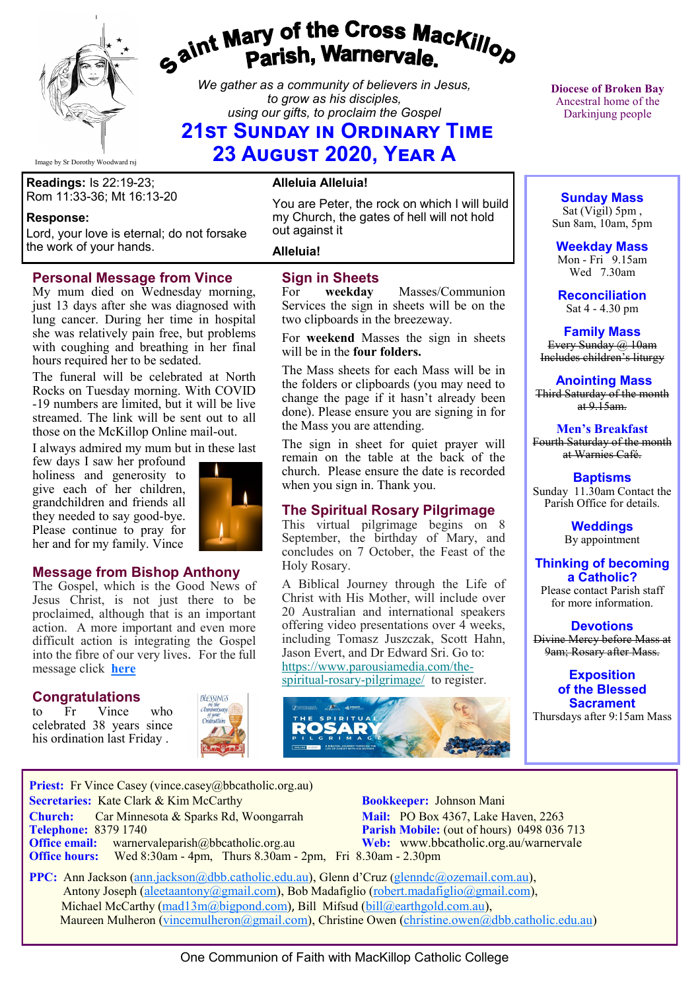

# *Gaint Mary of the Cross MacKillop*<br>*Gaint* **Parish, Warnervale.**

*We gather as a community of believers in Jesus, to grow as his disciples, using our gifts, to proclaim the Gospel*

## **21st Sunday in Ordinary Time 23 August 2020, Year A**

Image by Sr Dorothy Woodward rsj

**Readings:** Is 22:19-23; Rom 11:33-36; Mt 16:13-20

#### **Response:**

Lord, your love is eternal; do not forsake the work of your hands.

#### **Personal Message from Vince**

My mum died on Wednesday morning, just 13 days after she was diagnosed with lung cancer. During her time in hospital she was relatively pain free, but problems with coughing and breathing in her final hours required her to be sedated.

The funeral will be celebrated at North Rocks on Tuesday morning. With COVID -19 numbers are limited, but it will be live streamed. The link will be sent out to all those on the McKillop Online mail-out.

I always admired my mum but in these last

few days I saw her profound holiness and generosity to give each of her children, grandchildren and friends all they needed to say good-bye. Please continue to pray for her and for my family. Vince



#### **Message from Bishop Anthony**

The Gospel, which is the Good News of Jesus Christ, is not just there to be proclaimed, although that is an important action. A more important and even more difficult action is integrating the Gospel into the fibre of our very lives. For the full message click **[here](https://bbcatholic.us8.list-manage.com/track/click?u=466af249e088db70ab864d088&id=a777b67d8f&e=e312df0f80)**

Priest: Fr Vince Casey (vince.casey@bbcatholic.org.au)

#### **Congratulations**

to Fr Vince who celebrated 38 years since his ordination last Friday .



#### **Alleluia Alleluia!**

You are Peter, the rock on which I will build my Church, the gates of hell will not hold out against it

**Alleluia!**

# **Sign in Sheets**<br>For **weekday**

Masses/Communion Services the sign in sheets will be on the two clipboards in the breezeway.

For **weekend** Masses the sign in sheets will be in the **four folders.** 

The Mass sheets for each Mass will be in the folders or clipboards (you may need to change the page if it hasn't already been done). Please ensure you are signing in for the Mass you are attending.

The sign in sheet for quiet prayer will remain on the table at the back of the church. Please ensure the date is recorded when you sign in. Thank you.

#### **The Spiritual Rosary Pilgrimage**

This virtual pilgrimage begins on 8 September, the birthday of Mary, and concludes on 7 October, the Feast of the Holy Rosary.

A Biblical Journey through the Life of Christ with His Mother, will include over 20 Australian and international speakers offering video presentations over 4 weeks, including Tomasz Juszczak, Scott Hahn, Jason Evert, and Dr Edward Sri. Go to: [https://www.parousiamedia.com/the](https://bbcatholic.us8.list-manage.com/track/click?u=466af249e088db70ab864d088&id=ff7c7f4ef2&e=e312df0f80)spiritual-rosary-[pilgrimage/](https://bbcatholic.us8.list-manage.com/track/click?u=466af249e088db70ab864d088&id=ff7c7f4ef2&e=e312df0f80) to register.



**Diocese of Broken Bay**  Ancestral home of the Darkinjung people

### **Sunday Mass**

Sat (Vigil) 5pm , Sun 8am, 10am, 5pm

**Weekday Mass** Mon - Fri 9.15am Wed 7.30am

**Reconciliation** Sat 4 - 4.30 pm

**Family Mass**  Every Sunday  $(a)$  10am Includes children's liturgy

**Anointing Mass** Third Saturday of the month  $at 9.15am.$ 

**Men's Breakfast** Fourth Saturday of the month at Warnies Café.

**Baptisms** Sunday 11.30am Contact the Parish Office for details.

> **Weddings**  By appointment

#### **Thinking of becoming a Catholic?**

Please contact Parish staff for more information.

**Devotions** Divine Mercy before Mass at 9am; Rosary after Mass.

> **Exposition of the Blessed Sacrament**

Thursdays after 9:15am Mass

**Church:** Car Minnesota & Sparks Rd, Woongarrah **Mail:** PO Box 4367, Lake Haven, 2263<br> **Telephone:** 8379 1740 **Parish Mobile:** (out of hours) 0498 036 **Parish Mobile:** (out of hours) 0498 036 713 **Office email:** warnervaleparish@bbcatholic.org.au **Web:** [www.bbcatholic.org.au/warnervale](https://www.bbcatholic.org.au/warnervale) **Office hours:** Wed 8:30am - 4pm, Thurs 8.30am - 2pm, Fri 8.30am - 2.30pm  **PPC:** Ann Jackson ([ann.jackson@dbb.catholic.edu.au\),](mailto:ann.jackson@dbb.catholic.edu.au) Glenn d'Cruz ([glenndc@ozemail.com.au\)](mailto:glenndc@ozemail.com.au), Antony Joseph ([aleetaantony@gmail.com\),](mailto:aleetaantony@gmail.com) Bob Madafiglio [\(robert.madafiglio@gmail.com\),](mailto:robert.madafiglio@gmail.com) Michael McCarthy ([mad13m@bigpond.com\)](mailto:mad13m@bigpond.com), Bill Mifsud ([bill@earthgold.com.au\),](mailto:bill@earthgold.com.au)

 **Secretaries:** Kate Clark & Kim McCarthy **Bookkeeper:** Johnson Mani

Maureen Mulheron ([vincemulheron@gmail.com\)](mailto:vincemulheron@gmail.com), Christine Owen (christine.owen[@dbb.catholic.edu.au\)](mailto:ann.jackson@dbb.catholic.edu.au)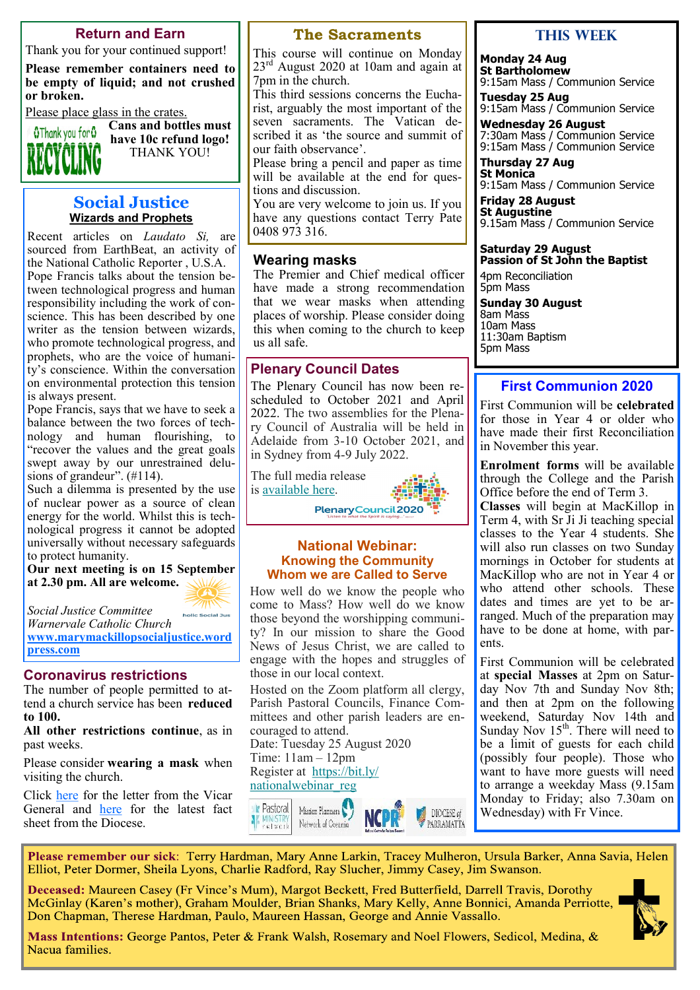#### **Return and Earn**

Thank you for your continued support!

**Please remember containers need to be empty of liquid; and not crushed or broken.** 

Please place glass in the crates.



**Cans and bottles must have 10c refund logo!** THANK YOU!

#### **Social Justice Wizards and Prophets**

Recent articles on *Laudato Si,* are sourced from EarthBeat, an activity of the National Catholic Reporter , U.S.A. Pope Francis talks about the tension between technological progress and human responsibility including the work of conscience. This has been described by one writer as the tension between wizards, who promote technological progress, and prophets, who are the voice of humanity's conscience. Within the conversation on environmental protection this tension is always present.

Pope Francis, says that we have to seek a balance between the two forces of technology and human flourishing, to "recover the values and the great goals swept away by our unrestrained delusions of grandeur". (#114).

Such a dilemma is presented by the use of nuclear power as a source of clean energy for the world. Whilst this is technological progress it cannot be adopted universally without necessary safeguards to protect humanity.

**Our next meeting is on 15 September at 2.30 pm. All are welcome.**

*Social Justice Committee* 

*Warnervale Catholic Church* **[www.marymackillopsocialjustice.word](http://www.marymackillopsocialjustice.wordpress.com) [press.com](http://www.marymackillopsocialjustice.wordpress.com)**

holic Social Just

#### **Coronavirus restrictions**

The number of people permitted to attend a church service has been **reduced to 100.**

**All other restrictions continue**, as in past weeks.

Please consider **wearing a mask** when visiting the church.

Click [here](https://bbcatholic.us8.list-manage.com/track/click?u=466af249e088db70ab864d088&id=d83b7dab6b&e=082a8c9b01) for the letter from the Vicar General and **[here](https://bbcatholic.us8.list-manage.com/track/click?u=466af249e088db70ab864d088&id=27ad78a1d8&e=082a8c9b01)** for the latest fact sheet from the Diocese.

#### **The Sacraments**

This course will continue on Monday  $23<sup>rd</sup>$  August 2020 at 10am and again at 7pm in the church.

This third sessions concerns the Eucharist, arguably the most important of the seven sacraments. The Vatican described it as 'the source and summit of our faith observance'.

Please bring a pencil and paper as time will be available at the end for questions and discussion.

You are very welcome to join us. If you have any questions contact Terry Pate 0408 973 316.

#### **Wearing masks**

The Premier and Chief medical officer have made a strong recommendation that we wear masks when attending places of worship. Please consider doing this when coming to the church to keep us all safe.

#### **Plenary Council Dates**

The Plenary Council has now been rescheduled to October 2021 and April 2022. The two assemblies for the Plenary Council of Australia will be held in Adelaide from 3-10 October 2021, and in Sydney from 4-9 July 2022.

The full media release is [available here.](https://bbcatholic.us8.list-manage.com/track/click?u=466af249e088db70ab864d088&id=237e3ae153&e=e312df0f80) Plenary Council 2020

#### **National Webinar: Knowing the Community Whom we are Called to Serve**

How well do we know the people who come to Mass? How well do we know those beyond the worshipping community? In our mission to share the Good News of Jesus Christ, we are called to engage with the hopes and struggles of those in our local context.

Hosted on the Zoom platform all clergy, Parish Pastoral Councils, Finance Committees and other parish leaders are encouraged to attend.

Date: Tuesday 25 August 2020 Time: 11am – 12pm Register at [https://bit.ly/](https://bbcatholic.us8.list-manage.com/track/click?u=466af249e088db70ab864d088&id=beb0e4343d&e=e312df0f80) [nationalwebinar\\_reg](https://bbcatholic.us8.list-manage.com/track/click?u=466af249e088db70ab864d088&id=beb0e4343d&e=e312df0f80)



#### **This weeK**

**Monday 24 Aug St Bartholomew**  9:15am Mass / Communion Service

**Tuesday 25 Aug**  9:15am Mass / Communion Service

**Wednesday 26 August** 7:30am Mass / Communion Service 9:15am Mass / Communion Service

**Thursday 27 Aug St Monica** 9:15am Mass / Communion Service

**Friday 28 August St Augustine**

9.15am Mass / Communion Service

#### **Saturday 29 August Passion of St John the Baptist**

4pm Reconciliation 5pm Mass

**Sunday 30 August** 8am Mass 10am Mass 11:30am Baptism 5pm Mass

## **First Communion 2020**

First Communion will be **celebrated** for those in Year 4 or older who have made their first Reconciliation in November this year.

**Enrolment forms** will be available through the College and the Parish Office before the end of Term 3.

**Classes** will begin at MacKillop in Term 4, with Sr Ji Ji teaching special classes to the Year 4 students. She will also run classes on two Sunday mornings in October for students at MacKillop who are not in Year 4 or who attend other schools. These dates and times are yet to be arranged. Much of the preparation may have to be done at home, with parents.

First Communion will be celebrated at **special Masses** at 2pm on Saturday Nov 7th and Sunday Nov 8th; and then at 2pm on the following weekend, Saturday Nov 14th and Sunday Nov  $15<sup>th</sup>$ . There will need to be a limit of guests for each child (possibly four people). Those who want to have more guests will need to arrange a weekday Mass (9.15am Monday to Friday; also 7.30am on Wednesday) with Fr Vince.

Please remember our sick: Terry Hardman, Mary Anne Larkin, Tracey Mulheron, Ursula Barker, Anna Savia, Helen Elliot, Peter Dormer, Sheila Lyons, Charlie Radford, Ray Slucher, Jimmy Casey, Jim Swanson.

Deceased: Maureen Casey (Fr Vince's Mum), Margot Beckett, Fred Butterfield, Darrell Travis, Dorothy McGinlay (Karen's mother), Graham Moulder, Brian Shanks, Mary Kelly, Anne Bonnici, Amanda Perriotte, Don Chapman, Therese Hardman, Paulo, Maureen Hassan, George and Annie Vassallo.



**Mass Intentions:** George Pantos, Peter & Frank Walsh, Rosemary and Noel Flowers, Sedicol, Medina, & Nacua families.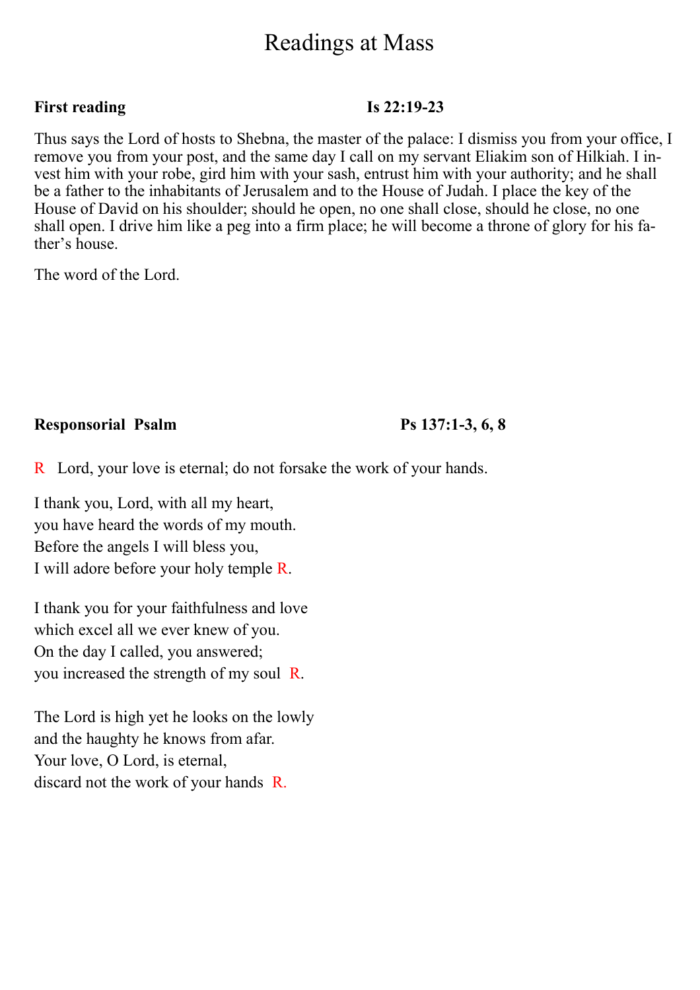# Readings at Mass

#### **First reading Is 22:19-23**

Thus says the Lord of hosts to Shebna, the master of the palace: I dismiss you from your office, I remove you from your post, and the same day I call on my servant Eliakim son of Hilkiah. I invest him with your robe, gird him with your sash, entrust him with your authority; and he shall be a father to the inhabitants of Jerusalem and to the House of Judah. I place the key of the House of David on his shoulder; should he open, no one shall close, should he close, no one shall open. I drive him like a peg into a firm place; he will become a throne of glory for his father's house.

The word of the Lord.

## **Responsorial Psalm Ps 137:1-3, 6, 8**

R Lord, your love is eternal; do not forsake the work of your hands.

I thank you, Lord, with all my heart, you have heard the words of my mouth. Before the angels I will bless you, I will adore before your holy temple R.

I thank you for your faithfulness and love which excel all we ever knew of you. On the day I called, you answered; you increased the strength of my soul R.

The Lord is high yet he looks on the lowly and the haughty he knows from afar. Your love, O Lord, is eternal, discard not the work of your hands R.